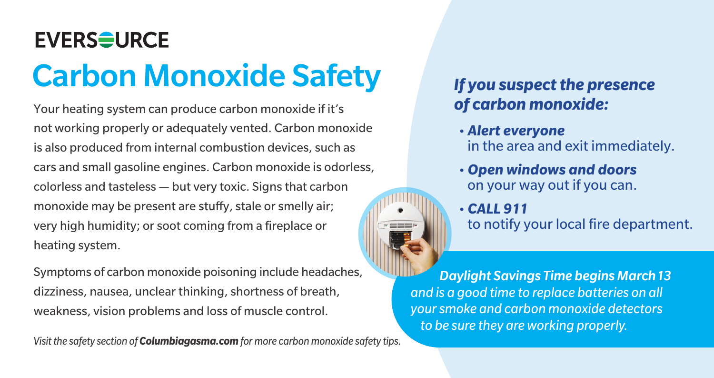## **EVERS<del>O</del>URCE** Carbon Monoxide Safety *If you suspect the presence*

Your heating system can produce carbon monoxide if it's not working properly or adequately vented. Carbon monoxide is also produced from internal combustion devices, such as cars and small gasoline engines. Carbon monoxide is odorless, colorless and tasteless — but very toxic. Signs that carbon monoxide may be present are stuffy, stale or smelly air; very high humidity; or soot coming from a fireplace or heating system.

Symptoms of carbon monoxide poisoning include headaches, dizziness, nausea, unclear thinking, shortness of breath, weakness, vision problems and loss of muscle control.

*Visit the safety section of Columbiagasma.com for more carbon monoxide safety tips.*

## *of carbon monoxide:*

- *Alert everyone* in the area and exit immediately.
- *Open windows and doors* on your way out if you can.

• *CALL 911* to notify your local fire department.

 *Daylight Savings Time begins March 13 and is a good time to replace batteries on all your smoke and carbon monoxide detectors to be sure they are working properly.*